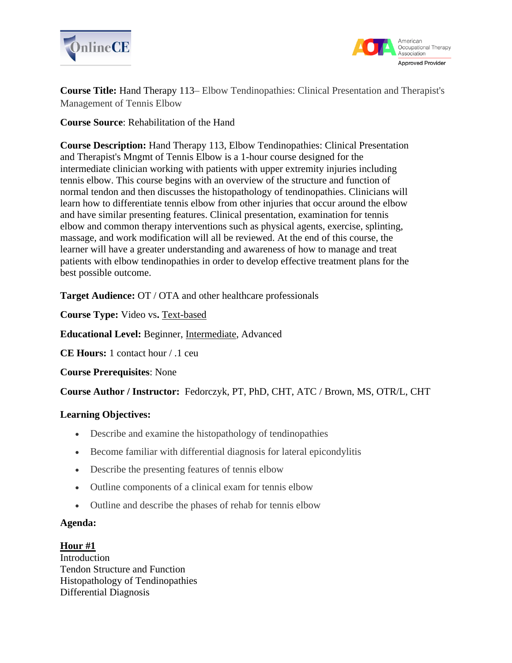



**Course Title:** Hand Therapy 113– Elbow Tendinopathies: Clinical Presentation and Therapist's Management of Tennis Elbow

**Course Source**: Rehabilitation of the Hand

**Course Description:** Hand Therapy 113, Elbow Tendinopathies: Clinical Presentation and Therapist's Mngmt of Tennis Elbow is a 1-hour course designed for the intermediate clinician working with patients with upper extremity injuries including tennis elbow. This course begins with an overview of the structure and function of normal tendon and then discusses the histopathology of tendinopathies. Clinicians will learn how to differentiate tennis elbow from other injuries that occur around the elbow and have similar presenting features. Clinical presentation, examination for tennis elbow and common therapy interventions such as physical agents, exercise, splinting, massage, and work modification will all be reviewed. At the end of this course, the learner will have a greater understanding and awareness of how to manage and treat patients with elbow tendinopathies in order to develop effective treatment plans for the best possible outcome.

**Target Audience:** OT / OTA and other healthcare professionals

**Course Type:** Video vs**.** Text-based

**Educational Level:** Beginner, Intermediate, Advanced

**CE Hours:** 1 contact hour / .1 ceu

**Course Prerequisites**: None

**Course Author / Instructor:** Fedorczyk, PT, PhD, CHT, ATC / Brown, MS, OTR/L, CHT

# **Learning Objectives:**

- Describe and examine the histopathology of tendinopathies
- Become familiar with differential diagnosis for lateral epicondylitis
- Describe the presenting features of tennis elbow
- Outline components of a clinical exam for tennis elbow
- Outline and describe the phases of rehab for tennis elbow

### **Agenda:**

### **Hour #1**

**Introduction** Tendon Structure and Function Histopathology of Tendinopathies Differential Diagnosis